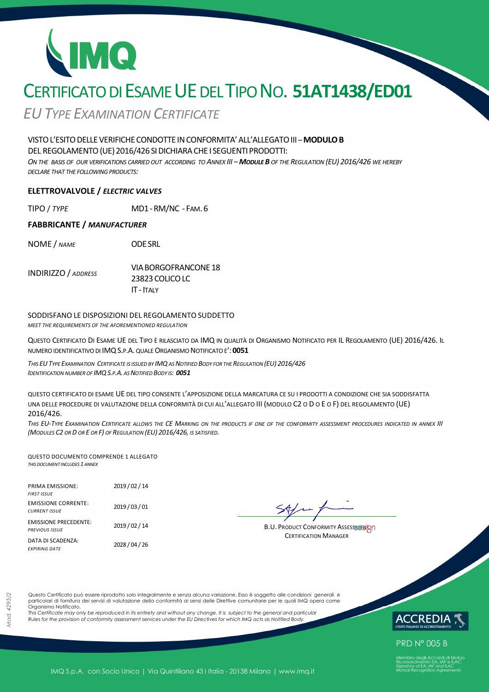# CERTIFICATO DI ESAME UE DEL TIPO NO. **51AT1438/ED01**

*EUTYPE EXAMINATION CERTIFICATE*

# VISTOL'ESITODELLEVERIFICHECONDOTTE INCONFORMITA'ALL'ALLEGATOIII *–***MODULOB**

DEL REGOLAMENTO (UE) 2016/426 SI DICHIARA CHE I SEGUENTI PRODOTTI:

ON THE BASIS OF OUR VERIFICATIONS CARRIED OUT ACCORDING TO ANNEX III - MODULE B OF THE REGULATION (EU) 2016/426 WE HEREBY *DECLARE THAT THE FOLLOWING PRODUCTS:*

### **ELETTROVALVOLE /** *ELECTRIC VALVES*

TIPO / *TYPE* MD1-RM/NC - FAM. 6

#### **FABBRICANTE /** *MANUFACTURER*

NOME / *NAME* ODESRL

INDIRIZZO / *ADDRESS* VIABORGOFRANCONE 18 23823COLICOLC IT - ITALY

#### SODDISFANO LE DISPOSIZIONI DEL REGOLAMENTO SUDDETTO

*MEET THE REQUIREMENTS OF THE AFOREMENTIONED REGULATION*

QUESTO CERTIFICATO DI ESAME UE DEL TIPO È RILASCIATO DA IMQ IN QUALITÀ DI ORGANISMO NOTIFICATO PER IL REGOLAMENTO (UE) 2016/426. IL NUMERO IDENTIFICATIVO DI IMQS.P.A. QUALE ORGANISMO NOTIFICATO E': **0051** 

THIS EU TYPE EXAMINATION CERTIFICATE IS ISSUED BY IMQ AS NOTIFIED BODY FOR THE REGULATION (EU) 2016/426 *IDENTIFICATION NUMBER OF IMQS.P.A. AS NOTIFIED BODY IS: 0051*

QUESTO CERTIFICATO DI ESAME UE DEL TIPO CONSENTE L'APPOSIZIONE DELLA MARCATURA CE SU I PRODOTTI A CONDIZIONE CHE SIA SODDISFATTA UNA DELLE PROCEDURE DI VALUTAZIONE DELLA CONFORMITÀ DI CUI ALL'ALLEGATO III (MODULO C2 O D O E O F) DEL REGOLAMENTO (UE) 2016/426.

THIS EU-TYPE EXAMINATION CERTIFICATE ALLOWS THE CE MARKING ON THE PRODUCTS IF ONE OF THE CONFORMITY ASSESSMENT PROCEDURES INDICATED IN ANNEX III *(MODULES C2 OR D OR E OR F) OF REGULATION (EU) 2016/426, IS SATISFIED.* 

QUESTO DOCUMENTO COMPRENDE 1 ALLEGATO *THIS DOCUMENT INCLUDES 1 ANNEX*

| <b>PRIMA EMISSIONE:</b><br><b>FIRST ISSUE</b>         | 2019 / 02 / 14 |
|-------------------------------------------------------|----------------|
| <b>EMISSIONE CORRENTE:</b><br><b>CURRENT ISSUE</b>    | 2019/03/01     |
| <b>EMISSIONE PRECEDENTE:</b><br><b>PREVIOUS ISSUE</b> | 2019 / 02 / 14 |
| DATA DI SCADENZA:<br><b>FXPIRING DATE</b>             | 2028 / 04 / 26 |

B.U. PRODUCT CONFORMITY ASSESSMESIRI CERTIFICATION MANAGER

Questo Certificato può essere riprodotto solo integralmente e senza alcuna variazione. Esso è soggetto alle condizioni generali e particolari di fornitura dei servizi di valutazione della conformità ai sensi delle Direttive comunitarie per le quali IMQ opera come Organismo Notificato.

*This Certificate may only be reproduced in its entirety and without any change. It is subject to the general and particular Rules for the provision of conformity assessment services under the EU Directives for which IMQ acts as Notified Body.* 



**PRD N° 005 B**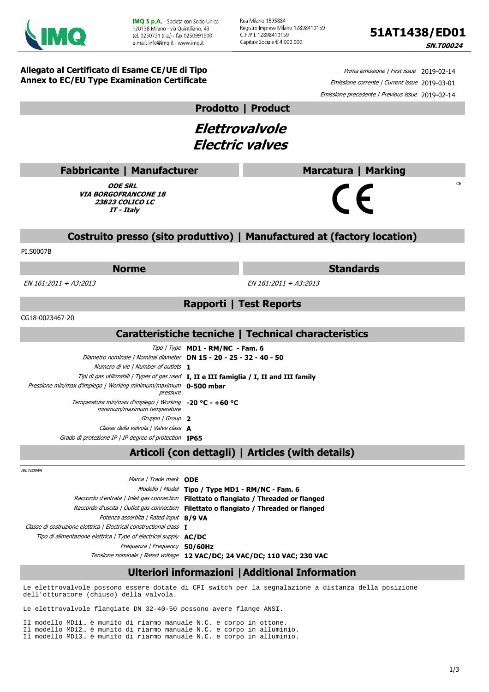

Rea Milano 1595884 Registro Imprese Milano 12898410159 C F /P I. 12898410159 Capitale Sociale € 4.000.000

**SN.T00024** 

 $CF$ 

**Allegato al Certificato di Esame CE/UE di Tipo Annex to EC/EU Type Examination Certificate**

Prima emissione | First issue 2019-02-14 Emissione corrente | Current issue 2019-03-01 Emissione precedente | Previous issue 2019-02-14

**Prodotto | Product**

**Elettrovalvole Electric valves**

| <b>Fabbricante   Manufacturer</b> |
|-----------------------------------|
|                                   |

**ODE SRL VIA BORGOFRANCONE 18 23823 COLICO LC IT - Italy**

## **Costruito presso (sito produttivo) | Manufactured at (factory location)**

PI.S0007B

#### **Norme Standards**

**Marcatura | Marking**

 $\epsilon$ 

EN 161:2011 + A3:2013 EN 161:2011 + A3:2013

**Rapporti | Test Reports**

CG18-0023467-20

### **Caratteristiche tecniche | Technical characteristics**

|                                                                                            | $Tipo$ / Type <b>MD1 - RM/NC - Fam. 6</b>                                                |
|--------------------------------------------------------------------------------------------|------------------------------------------------------------------------------------------|
| Diametro nominale   Nominal diameter <b>DN 15 - 20 - 25 - 32 - 40 - 50</b>                 |                                                                                          |
| Numero di vie   Number of outlets 1                                                        |                                                                                          |
|                                                                                            | Tipi di gas utilizzabili   Types of gas used I, II e III famiglia / I, II and III family |
| Pressione min/max d'impiego / Working minimum/maximum 0-500 mbar<br>pressure               |                                                                                          |
| Temperatura min/max d'impiego   Working $-20$ °C - $+60$ °C<br>minimum/maximum temperature |                                                                                          |
| Gruppo   Group 2                                                                           |                                                                                          |
| Classe della valvola   Valve class A                                                       |                                                                                          |
| Grado di protezione IP   IP degree of protection <b>IP65</b>                               |                                                                                          |

# **Articoli (con dettagli) | Articles (with details)**

AR.T000NR

| Marca / Trade mark <b>ODE</b>                                            |                                                                          |
|--------------------------------------------------------------------------|--------------------------------------------------------------------------|
|                                                                          | Modello   Model Tipo / Type MD1 - RM/NC - Fam. 6                         |
| Raccordo d'entrata   Inlet gas connection                                | Filettato o flangiato / Threaded or flanged                              |
| Raccordo d'uscita   Outlet gas connection                                | Filettato o flangiato / Threaded or flanged                              |
| Potenza assorbita   Rated input 8/9 VA                                   |                                                                          |
| Classe di costruzione elettrica   Electrical constructional class $I$    |                                                                          |
| Tipo di alimentazione elettrica   Type of electrical supply <b>AC/DC</b> |                                                                          |
| Frequenza   Frequency 50/60Hz                                            |                                                                          |
|                                                                          | Tensione nominale   Rated voltage 12 VAC/DC; 24 VAC/DC; 110 VAC; 230 VAC |
|                                                                          |                                                                          |

# **Ulteriori informazioni |Additional Information**

Le elettrovalvole possono essere dotate di CPI switch per la segnalazione a distanza della posizione dell'otturatore (chiuso) della valvola.

Le elettrovalvole flangiate DN 32-40-50 possono avere flange ANSI.

Il modello MD11… è munito di riarmo manuale N.C. e corpo in ottone. Il modello MD12… è munito di riarmo manuale N.C. e corpo in alluminio. Il modello MD13… è munito di riarmo manuale N.C. e corpo in alluminio.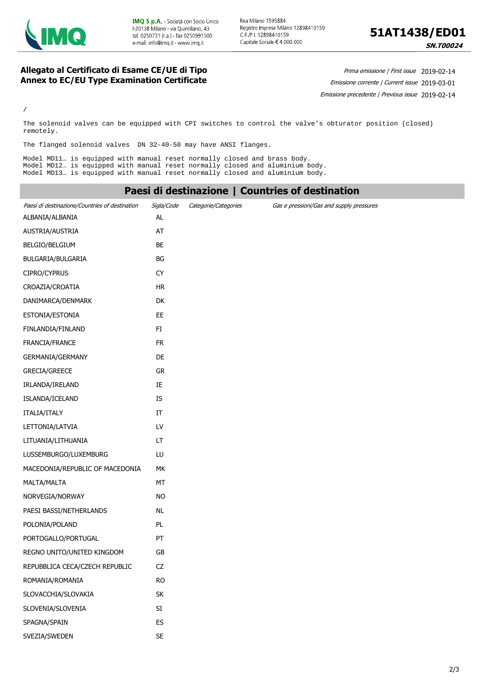



**SN.T00024** 

#### **Allegato al Certificato di Esame CE/UE di Tipo Annex to EC/EU Type Examination Certificate**

Prima emissione | First issue 2019-02-14 Emissione corrente | Current issue 2019-03-01 Emissione precedente | Previous issue 2019-02-14

/

The solenoid valves can be equipped with CPI switches to control the valve's obturator position (closed) remotely.

The flanged solenoid valves DN 32-40-50 may have ANSI flanges.

Model MD11… is equipped with manual reset normally closed and brass body. Model MD12… is equipped with manual reset normally closed and aluminium body. Model MD13… is equipped with manual reset normally closed and aluminium body.

|                                                |                      |                      | Paesi di destinazione   Countries of destination |  |
|------------------------------------------------|----------------------|----------------------|--------------------------------------------------|--|
| Paesi di destinazione/Countries of destination | Sigla/Code           | Categorie/Categories | Gas e pressioni/Gas and supply pressures         |  |
| ALBANIA/ALBANIA                                | AL                   |                      |                                                  |  |
| AUSTRIA/AUSTRIA                                | AT                   |                      |                                                  |  |
| BELGIO/BELGIUM                                 | BE                   |                      |                                                  |  |
| BULGARIA/BULGARIA                              | BG                   |                      |                                                  |  |
| CIPRO/CYPRUS                                   | <b>CY</b>            |                      |                                                  |  |
| CROAZIA/CROATIA                                | <b>HR</b>            |                      |                                                  |  |
| DANIMARCA/DENMARK                              | DK                   |                      |                                                  |  |
| ESTONIA/ESTONIA                                | EE.                  |                      |                                                  |  |
| FINLANDIA/FINLAND                              | FI                   |                      |                                                  |  |
| FRANCIA/FRANCE                                 | <b>FR</b>            |                      |                                                  |  |
| GERMANIA/GERMANY                               | DE                   |                      |                                                  |  |
| GRECIA/GREECE                                  | GR                   |                      |                                                  |  |
| IRLANDA/IRELAND                                | IE                   |                      |                                                  |  |
| ISLANDA/ICELAND                                | <b>IS</b>            |                      |                                                  |  |
| ITALIA/ITALY                                   | IT                   |                      |                                                  |  |
| LETTONIA/LATVIA                                | LV                   |                      |                                                  |  |
| LITUANIA/LITHUANIA                             | LT.                  |                      |                                                  |  |
| LUSSEMBURGO/LUXEMBURG                          | LU                   |                      |                                                  |  |
| MACEDONIA/REPUBLIC OF MACEDONIA                | МK                   |                      |                                                  |  |
| MALTA/MALTA                                    | MT                   |                      |                                                  |  |
| NORVEGIA/NORWAY                                | <b>NO</b>            |                      |                                                  |  |
| PAESI BASSI/NETHERLANDS                        | <b>NL</b>            |                      |                                                  |  |
| POLONIA/POLAND                                 | PL                   |                      |                                                  |  |
| PORTOGALLO/PORTUGAL                            | PT                   |                      |                                                  |  |
| REGNO UNITO/UNITED KINGDOM                     | GB                   |                      |                                                  |  |
| REPUBBLICA CECA/CZECH REPUBLIC                 | CZ                   |                      |                                                  |  |
| ROMANIA/ROMANIA                                | <b>RO</b>            |                      |                                                  |  |
| SLOVACCHIA/SLOVAKIA                            | SK                   |                      |                                                  |  |
| SLOVENIA/SLOVENIA                              | $\mathsf{SI}\xspace$ |                      |                                                  |  |
| SPAGNA/SPAIN                                   | ES                   |                      |                                                  |  |
| SVEZIA/SWEDEN                                  | SE                   |                      |                                                  |  |
|                                                |                      |                      |                                                  |  |